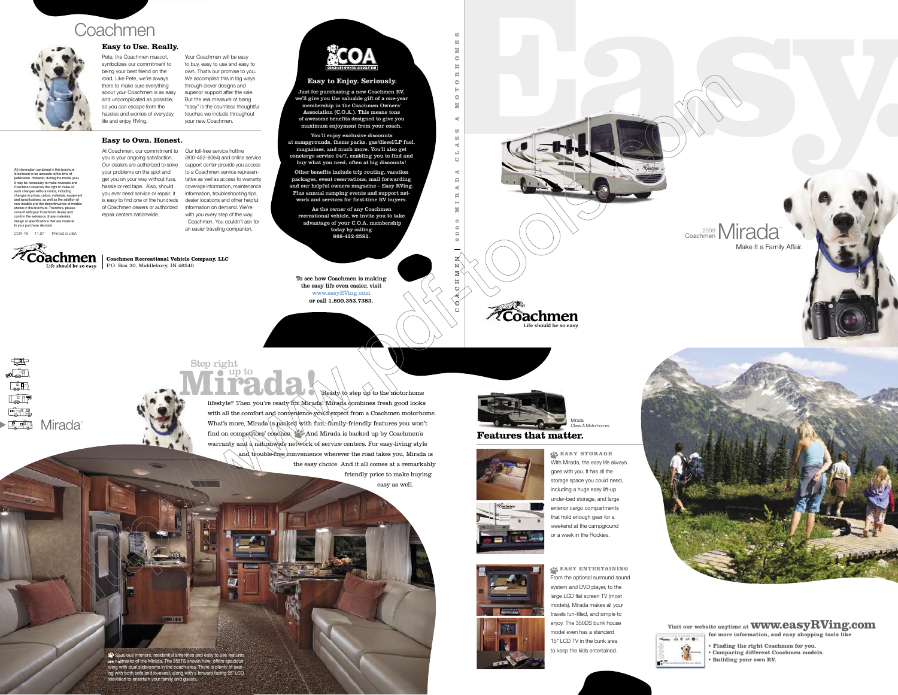# **Mirada!** Step right<br>  $\blacksquare$   $\blacksquare$  up to

Spacious interiors, residential amenities and easy to use features are hallmarks of the Mirada. The 355TS shown here, offers spacious living with dual sliderooms in the coach area. There is plenty of seating with both sofa and loveseat, along with a forward facing 26˝ LCD television to entertain your family and guests.

**SUBJECT** 

 $\triangle$  Ready to step up to the motorhome lifestyle? Then you're ready for Mirada! Mirada combines fresh good looks with all the comfort and convenience you'd expect from a Coachmen motorhome. What's more, Mirada is packed with fun, family-friendly features you won't find on competitors' coaches. And Mirada is backed up by Coachmen's warranty and a nationwide network of service centers. For easy-living style and trouble-free convenience wherever the road takes you, Mirada is the easy choice.And it all comes at a remarkably friendly price to make buying

> **EASY ENTERTAINING** From the optional surround sound system and DVD player, to the large LCD flat screen TV (most models), Mirada makes all your travels fun-filled, and simple to enjoy. The 350DS bunk house model even has a standard 15" LCD TV in the bunk area to keep the kids entertained.



**Coachmen** 

easy as well.

**EASY STORAGE** With Mirada, the easy life always goes with you. It has all the storage space you could need, including a huge easy lift-up under-bed storage, and large exterior cargo compartments that hold enough gear for a weekend at the campground or a week in the Rockies.



**Features that matter.**



**Visit our website anytime at www.easyRVing.com for more information, and easy shopping tools like**



- **Finding the right Coachmen for you. • Comparing different Coachmen models.**
- 
- **Building your own RV.**



Class A Motorhomes

Life should be so easy.

**Coachmen** 

**O M E**

**S** C O A C H M E N

2009 MIRADA CLASS A MOTORIOMES







**Coachmen Recreational Vehicle Company, LLC** Life should be so easy.  $\parallel$  P.O. Box 30, Middlebury, IN 46540  $\parallel$ 

and uncomplicated as possible, 2009 Mirada Coachmen hassles and worries of everyday life and enjoy RVing. Pete, the Coachmen mascot, symbolizes our commitment to being your best friend on the road. Like Pete, we're always there to make sure everything about your Coachmen is as easy so you can escape from the



**Example the state of the state of the conduction of the state of the based of the state of the state of the state of the state of the state of the state of the state of the state of the state of the state of the state of** (800-453-6064) and online service support center provide you access to a Coachmen service representative as well as access to warranty coverage information, maintenance information, troubleshooting tips, dealer locations and other helpful with you every step of the way. Coachmen. You couldn't ask for an easier traveling companion.



C O A C H M E N

All information contained in this brochure is believed to be accurate at the time of publication. However, during the model year, it may be necessary to make revisions and Coachmen reserves the right to make all such changes without notice, including changes in prices, colors, materials, equipment and specifications, as well as the addition of new models and the discontinuance of models shown in this brochure. Therefore, please consult with your Coachmen dealer and confirm the existence of any materials, design or specifications that are material

to your purchase decision.

COA-78 11.07 Printed in USA





## **Easy to Use. Really.**

Your Coachmen will be easy to buy, easy to use and easy to own. That's our promise to you. We accomplish this in big ways through clever designs and superior support after the sale. But the real measure of being "easy" is the countless thoughtful touches we include throughout

your new Coachmen.

# **Easy to Own. Honest.**

To see how Coachmen is making the easy life even easier, visit www.easyRVing.com or call 1.800.353.7383.

 $\begin{picture}(20,20) \put(0,0){\dashbox{0.5}(5,0){ }} \thicklines \put(0,0){\dashbox{0.5}(5,0){ }} \thicklines \put(0,0){\dashbox{0.5}(5,0){ }} \thicklines \put(0,0){\dashbox{0.5}(5,0){ }} \thicklines \put(0,0){\dashbox{0.5}(5,0){ }} \thicklines \put(0,0){\dashbox{0.5}(5,0){ }} \thicklines \put(0,0){\dashbox{0.5}(5,0){ }} \thicklines \put(0,0){\dashbox{0.5}(5,0){ }} \thicklines \put(0,0){\dashbox{0.5}(5,$  $\bullet\bullet$  $\begin{tabular}{|c|c|} \hline \quad \quad & \quad \quad & \quad \quad \\ \hline \quad \quad & \quad \quad & \quad \quad \\ \hline \quad \quad & \quad \quad & \quad \quad \\ \hline \quad \quad & \quad \quad & \quad \quad \\ \hline \quad \quad & \quad \quad & \quad \quad \\ \hline \quad \quad & \quad \quad & \quad \quad \\ \hline \quad \quad & \quad \quad & \quad \quad \\ \hline \quad \quad & \quad \quad & \quad \quad \\ \hline \quad \quad & \quad \quad & \quad \quad \\ \hline \quad \quad & \quad \quad & \quad \quad \\ \hline \quad \quad & \quad \quad & \quad \quad \\ \hline \quad \quad & \quad$  $\begin{array}{c} \boxed{\bullet} \\ \boxed{\bullet} \end{array}$  $\begin{tabular}{|c|c|} \hline \quad \quad & \quad \quad & \quad \quad \\ \hline \quad \quad & \quad \quad & \quad \quad \\ \hline \quad \quad & \quad \quad & \quad \quad \\ \hline \quad \quad & \quad \quad & \quad \quad \\ \hline \end{tabular}$ **<u>■ • n</u> Mirada**™

Just for purchasing a new Coachmen RV, we'll give you the valuable gift of a one-year membership in the Coachmen Owners' Association (C.O.A.). This means tons of awesome benefits designed to give you maximum enjoyment from your coach.

You'll enjoy exclusive discounts at campgrounds, theme parks, gas/diesel/LP fuel, magazines, and much more. You'll also get concierge service 24/7, enabling you to find and buy what you need, often at big discounts!

Other benefits include trip routing, vacation packages, event reservations, mail forwarding and our helpful owners magazine – Easy RVing. Plus annual camping events and support network and services for first-time RV buyers.

As the owner of any Coachmen recreational vehicle, we invite you to take advantage of your C.O.A. membership today by calling 888-422-2582.

At Coachmen, our commitment to Our toll-free service hotline you is your ongoing satisfaction. Our dealers are authorized to solve your problems on the spot and get you on your way without fuss, hassle or red tape. Also, should you ever need service or repair; it is easy to find one of the hundreds of Coachmen dealers or authorized information on demand. We're repair centers nationwide.

### **Easy to Enjoy. Seriously.**